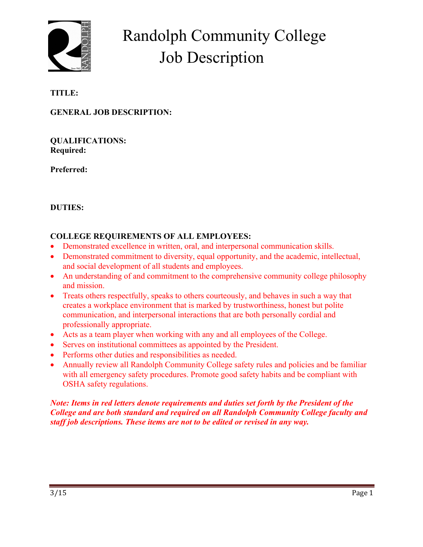

# Randolph Community College Job Description

# **TITLE:**

## **GENERAL JOB DESCRIPTION:**

**QUALIFICATIONS: Required:** 

**Preferred:** 

## **DUTIES:**

#### **COLLEGE REQUIREMENTS OF ALL EMPLOYEES:**

- Demonstrated excellence in written, oral, and interpersonal communication skills.
- Demonstrated commitment to diversity, equal opportunity, and the academic, intellectual, and social development of all students and employees.
- An understanding of and commitment to the comprehensive community college philosophy and mission.
- Treats others respectfully, speaks to others courteously, and behaves in such a way that creates a workplace environment that is marked by trustworthiness, honest but polite communication, and interpersonal interactions that are both personally cordial and professionally appropriate.
- Acts as a team player when working with any and all employees of the College.
- Serves on institutional committees as appointed by the President.
- Performs other duties and responsibilities as needed.
- Annually review all Randolph Community College safety rules and policies and be familiar with all emergency safety procedures. Promote good safety habits and be compliant with OSHA safety regulations.

*Note: Items in red letters denote requirements and duties set forth by the President of the College and are both standard and required on all Randolph Community College faculty and staff job descriptions. These items are not to be edited or revised in any way.*